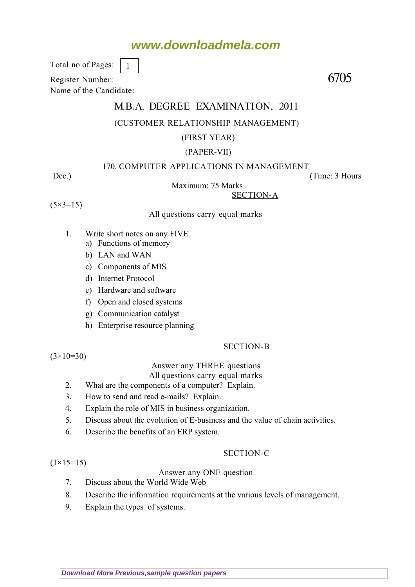# **www.downloadmela.com**

Total no of Pages:

Register Number: 6705 Name of the Candidate:

# M.B.A. DEGREE EXAMINATION, 2011

## (CUSTOMER RELATIONSHIP MANAGEMENT)

### (FIRST YEAR)

#### (PAPER-VII)

#### 170. COMPUTER APPLICATIONS IN MANAGEMENT

Maximum: 75 Marks

SECTION-A

 $(5 \times 3 = 15)$ 

#### All questions carry equal marks

1. Write short notes on any FIVE

1

- a) Functions of memory
- b) LAN and WAN
- c) Components of MIS
- d) Internet Protocol
- e) Hardware and software
- f) Open and closed systems
- g) Communication catalyst
- h) Enterprise resource planning

#### SECTION-B

 $(3\times10=30)$ 

 $(1\times15=15)$ 

#### Answer any THREE questions

All questions carry equal marks

- 2. What are the components of a computer? Explain.
- 3. How to send and read e-mails? Explain.
- 4. Explain the role of MIS in business organization.
- 5. Discuss about the evolution of E-business and the value of chain activities.
- 6. Describe the benefits of an ERP system.

#### SECTION-C

#### Answer any ONE question

- 7. Discuss about the World Wide Web
- 8. Describe the information requirements at the various levels of management.
- 9. Explain the types of systems.

Dec.) (Time: 3 Hours